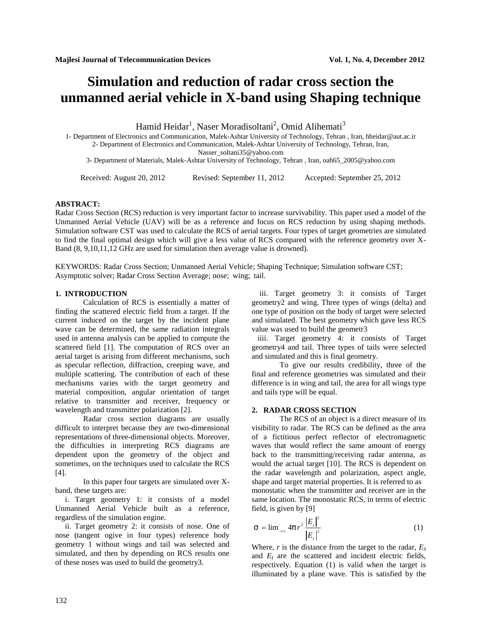# **Simulation and reduction of radar cross section the unmanned aerial vehicle in X-band using Shaping technique**

Hamid Heidar<sup>1</sup>, Naser Moradisoltani<sup>2</sup>, Omid Alihemati<sup>3</sup>

1- Department of Electronics and Communication, Malek-Ashtar University of Technology, Tehran , Iran, hheidar@aut.ac.ir 2- Department of Electronics and Communication, Malek-Ashtar University of Technology, Tehran, Iran, Nasser\_soltani35@yahoo.com

3- Department of Materials, Malek-Ashtar University of Technology, Tehran , Iran, oah65\_2005@yahoo.com

Received: August 20, 2012 Revised: September 11, 2012 Accepted: September 25, 2012

#### **ABSTRACT:**

Radar Cross Section (RCS) reduction is very important factor to increase survivability. This paper used a model of the Unmanned Aerial Vehicle (UAV) will be as a reference and focus on RCS reduction by using shaping methods. Simulation software CST was used to calculate the RCS of aerial targets. Four types of target geometries are simulated to find the final optimal design which will give a less value of RCS compared with the reference geometry over X- Band (8, 9,10,11,12 GHz are used for simulation then average value is drowned).

KEYWORDS: Radar Cross Section; Unmanned Aerial Vehicle; Shaping Technique; Simulation software CST; Asymptotic solver; Radar Cross Section Average; nose; wing; tail.

#### **1. INTRODUCTION**

Calculation of RCS is essentially a matter of finding the scattered electric field from a target. If the current induced on the target by the incident plane wave can be determined, the same radiation integrals used in antenna analysis can be applied to compute the scattered field [1]. The computation of RCS over an aerial target is arising from different mechanisms, such as specular reflection, diffraction, creeping wave, and multiple scattering. The contribution of each of these mechanisms varies with the target geometry and material composition, angular orientation of target relative to transmitter and receiver, frequency or wavelength and transmitter polarization [2].

Radar cross section diagrams are usually difficult to interpret because they are two-dimensional representations of three-dimensional objects. Moreover, the difficulties in interpreting RCS diagrams are dependent upon the geometry of the object and sometimes, on the techniques used to calculate the RCS [4].

In this paper four targets are simulated over X band, these targets are:

 i. Target geometry 1: it consists of a model Unmanned Aerial Vehicle built as a reference, regardless of the simulation engine.

ii. Target geometry 2: it consists of nose. One of nose (tangent ogive in four types) reference body geometry 1 without wings and tail was selected and simulated, and then by depending on RCS results one of these noses was used to build the geometry3.

iii. Target geometry 3: it consists of Target geometry2 and wing. Three types of wings (delta) and one type of position on the body of target were selected and simulated. The best geometry which gave less RCS value was used to build the geometr3

 iiii. Target geometry 4: it consists of Target geometry4 and tail. Three types of tails were selected and simulated and this is final geometry.

To give our results credibility, three of the final and reference geometries was simulated and their difference is in wing and tail, the area for all wings type and tails type will be equal.

# **2. RADAR CROSS SECTION**

The RCS of an object is a direct measure of its visibility to radar. The RCS can be defined as the area of a fictitious perfect reflector of electromagnetic waves that would reflect the same amount of energy back to the transmitting/receiving radar antenna, as would the actual target [10]. The RCS is dependent on the radar wavelength and polarization, aspect angle, shape and target material properties. It is referred to as monostatic when the transmitter and receiver are in the same location. The monostatic RCS, in terms of electric field, is given by [9] Target geometry 4: it consists of Target<br>etery4 and tail. Three types of tails were selected<br>imulated and this is final geometry.<br>To give our results credibility, three of the<br>and reference geometries was simulated and th value was used to build the geometr3<br>
iiii. Target geometry 4: it consists of Target<br>
geometry 4: it consists of Target<br>
geometry 4: it consists of Target<br>
und simulated and this is final geometry.<br>
To give our results cr

$$
\tau = \lim_{t \to \infty} 4f r^2 \frac{|E_s|^2}{|E_t|^2}
$$
 (1)

Where,  $r$  is the distance from the target to the radar,  $E_s$ and *E<sup>I</sup>* are the scattered and incident electric fields, respectively. Equation (1) is valid when the target is illuminated by a plane wave. This is satisfied by the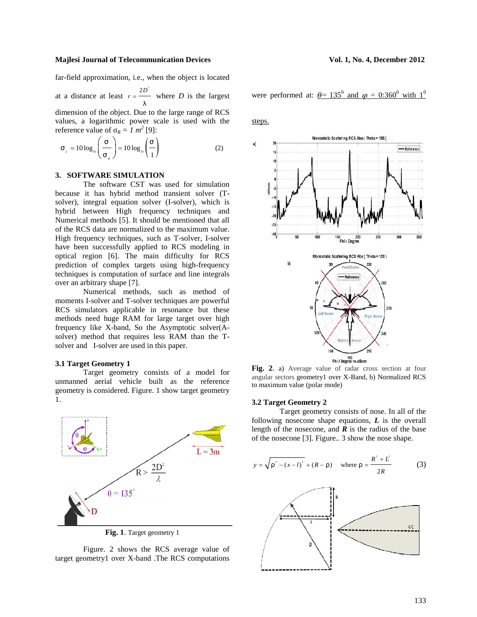far-field approximation, i.e., when the object is located

at a distance at least  $r = \frac{2D^2}{r}$  where *D* is the largest were perfor- $\}$  $=\frac{1}{\sqrt{2}}$  where *D* is the largest

dimension of the object. Due to the large range of RCS values, a logarithmic power scale is used with the *R* 

$$
\mathsf{t}_{L} = 10 \log_{10} \left( \frac{\mathsf{t}}{\mathsf{t}_{R}} \right) = 10 \log_{10} \left( \frac{\mathsf{t}}{1} \right) \tag{2}
$$

# **3. SOFTWARE SIMULATION**

The software CST was used for simulation because it has hybrid method transient solver (T solver), integral equation solver (I-solver), which is hybrid between High frequency techniques and Numerical methods [5]. It should be mentioned that all of the RCS data are normalized to the maximum value. High frequency techniques, such as T-solver, I-solver have been successfully applied to RCS modeling in optical region [6]. The main difficulty for RCS prediction of complex targets using high-frequency techniques is computation of surface and line integrals over an arbitrary shape [7].

Numerical methods, such as method of moments I-solver and T-solver techniques are powerful RCS simulators applicable in resonance but these methods need huge RAM for large target over high frequency like X-band, So the Asymptotic solver(A solver) method that requires less RAM than the T solver and I-solver are used in this paper.

#### **3.1 Target Geometry 1**

Target geometry consists of a model for unmanned aerial vehicle built as the reference geometry is considered. Figure. 1 show target geometry 1.



**Fig. 1**. Target geometry 1

Figure. 2 shows the RCS average value of target geometry1 over X-band .The RCS computations were performed at:  $\theta$ = 135<sup>0</sup> and  $\varphi$  = 0:360<sup>0</sup> with 1<sup>0</sup>

steps.



**Fig. 2**. a) Average value of radar cross section at four angular sectors geometry1 over X-Band, b) Normalized RCS to maximum value (polar mode)

#### **3.2 Target Geometry 2**

Target geometry consists of nose. In all of the following nosecone shape equations, *L* is the overall length of the nosecone, and  $\boldsymbol{R}$  is the radius of the base **3.2 Target Geometry 2**<br> **3.2 Target Geometry 2**<br>
Target geometry consists of nose. In all of the<br>
following nosecone shape equations, *L* is the overall<br>
length of the nosecone, and *R* is the radius of the base<br>
of the

$$
y = \sqrt{\dots^2 - (x - l)^2} + (R - \dots) \quad \text{where } \dots = \frac{R^2 + L^2}{2R} \tag{3}
$$

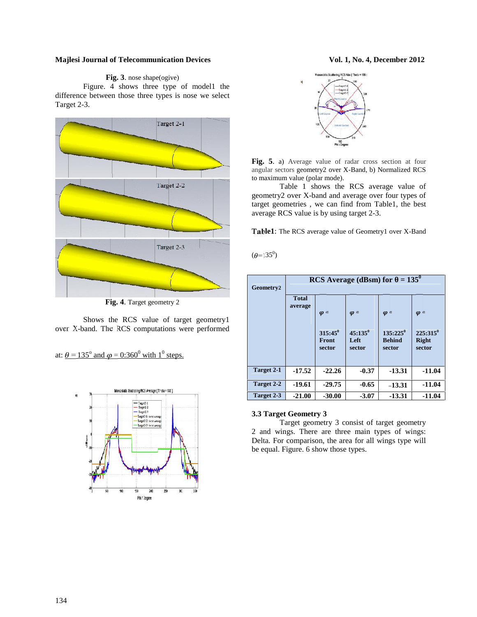# **Fig. 3**. nose shape(ogive)

Figure. 4 shows three type of model1 the difference between those three types is nose we select Target 2-3.



**Fig. 4**. Target geometry 2

Shows the RCS value of target geometry1 over X-band. The RCS computations were performed

at:  $\theta$  = 135<sup>°</sup> and  $\varphi$  = 0:360<sup>°</sup> with 1<sup>°</sup> steps.





**Fig. 5**. a) Average value of radar cross section at four angular sectors geometry2 over X-Band, b) Normalized RCS to maximum value (polar mode).

Table 1 shows the RCS average value of geometry2 over X-band and average over four types of target geometries , we can find from Table1, the best average RCS value is by using target 2-3.

**Table1**: The RCS average value of Geometry1 over X-Band

 $(\theta = 135^{\circ})$ 

| Geometry2         | $= 135^0$<br><b>RCS</b> Average (dBsm) for |                               |                                |                                          |                                         |  |
|-------------------|--------------------------------------------|-------------------------------|--------------------------------|------------------------------------------|-----------------------------------------|--|
|                   | <b>Total</b><br>average                    | $\varphi$ =                   | $\varphi$ =                    | $\varphi$ =                              | $\varphi =$                             |  |
|                   |                                            | $315:45^0$<br>Front<br>sector | $45:135^{0}$<br>Left<br>sector | $135:225^{0}$<br><b>Behind</b><br>sector | $225:315^{0}$<br><b>Right</b><br>sector |  |
| <b>Target 2-1</b> | $-17.52$                                   | $-22.26$                      | $-0.37$                        | $-13.31$                                 | $-11.04$                                |  |
| Target 2-2        | $-19.61$                                   | $-29.75$                      | $-0.65$                        | $-13.31$                                 | $-11.04$                                |  |
| Target 2-3        | $-21.00$                                   | $-30.00$                      | $-3.07$                        | $-13.31$                                 | $-11.04$                                |  |

# **3.3 Target Geometry 3**

Target geometry 3 consist of target geometry 2 and wings. There are three main types of wings: Delta. For comparison, the area for all wings type will be equal. Figure. 6 show those types.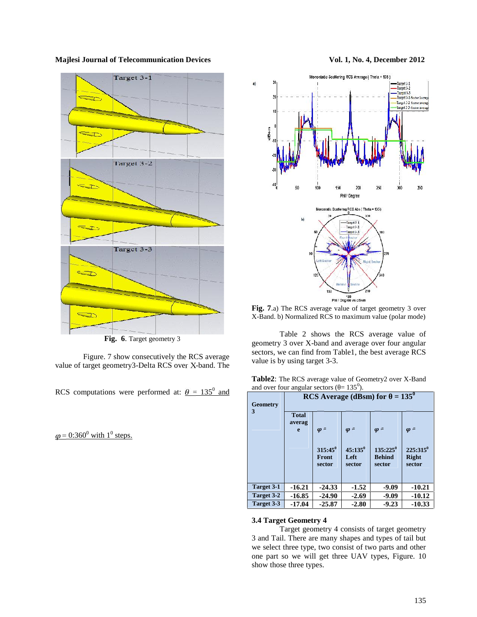

**Fig. 6**. Target geometry 3

Figure. 7 show consecutively the RCS average value of target geometry3-Delta RCS over X-band. The

RCS computations were performed at:  $\theta = 135^{\circ}$  and

 $= 0.360^{\circ}$  with  $1^{\circ}$  steps.



 $\mathbf{a}$ 

**Fig. 7**.a) The RCS average value of target geometry 3 over X-Band. b) Normalized RCS to maximum value (polar mode)

Table 2 shows the RCS average value of geometry 3 over X-band and average over four angular sectors, we can find from Table1, the best average RCS value is by using target 3-3.

| Table2: The RCS average value of Geometry2 over X-Band |  |
|--------------------------------------------------------|--|
| and over four angular sectors $( = 135^0)$ .           |  |

| <b>Geometry</b> | $= 135^{0}$<br><b>RCS</b> Average (dBsm) for |                                              |                                             |                                                       |                                                      |
|-----------------|----------------------------------------------|----------------------------------------------|---------------------------------------------|-------------------------------------------------------|------------------------------------------------------|
| 3               | <b>Total</b><br>averag<br>e                  | $\varphi$ =<br>$315:45^0$<br>Front<br>sector | $\varphi =$<br>$45:135^0$<br>Left<br>sector | $\varphi$ =<br>$135:225^0$<br><b>Behind</b><br>sector | $\varphi$ =<br>$225:315^0$<br><b>Right</b><br>sector |
| Target 3-1      | $-16.21$                                     | $-24.33$                                     | $-1.52$                                     | $-9.09$                                               | $-10.21$                                             |
| Target 3-2      | $-16.85$                                     | $-24.90$                                     | $-2.69$                                     | $-9.09$                                               | $-10.12$                                             |
| Target 3-3      | $-17.04$                                     | $-25.87$                                     | $-2.80$                                     | $-9.23$                                               | $-10.33$                                             |

#### **3.4 Target Geometry 4**

Target geometry 4 consists of target geometry 3 and Tail. There are many shapes and types of tail but we select three type, two consist of two parts and other one part so we will get three UAV types, Figure. 10 show those three types.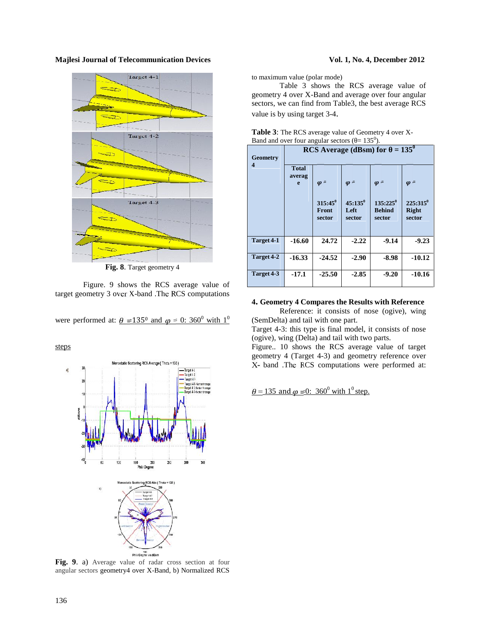

**Fig. 8**. Target geometry 4

Figure. 9 shows the RCS average value of target geometry 3 over X-band .The RCS computations

were performed at:  $\theta = 135^{\circ}$  and  $\varphi = 0$ : 360<sup>°</sup> with 1<sup>°</sup>

steps



**Fig. 9**. a) Average value of radar cross section at four angular sectors geometry4 over X-Band, b) Normalized RCS

to maximum value (polar mode)

Table 3 shows the RCS average value of geometry 4 over X-Band and average over four angular sectors, we can find from Table3, the best average RCS value is by using target 3-4.

| Danu and over four angular sectors $(1 - 133)$ . |                                              |                                              |                                             |                                                       |                                                      |
|--------------------------------------------------|----------------------------------------------|----------------------------------------------|---------------------------------------------|-------------------------------------------------------|------------------------------------------------------|
| <b>Geometry</b>                                  | $= 135^{0}$<br><b>RCS</b> Average (dBsm) for |                                              |                                             |                                                       |                                                      |
| 4                                                | <b>Total</b><br>averag<br>e                  | $\varphi$ =<br>$315:45^0$<br>Front<br>sector | $\varphi$ =<br>$45:135^0$<br>Left<br>sector | $\varphi$ =<br>$135:225^0$<br><b>Behind</b><br>sector | $\varphi$ =<br>$225:315^0$<br><b>Right</b><br>sector |
| Target 4-1                                       | $-16.60$                                     | 24.72                                        | $-2.22$                                     | $-9.14$                                               | $-9.23$                                              |
| Target 4-2                                       | $-16.33$                                     | $-24.52$                                     | $-2.90$                                     | $-8.98$                                               | $-10.12$                                             |
| Target 4-3                                       | $-17.1$                                      | $-25.50$                                     | $-2.85$                                     | $-9.20$                                               | $-10.16$                                             |

| <b>Table 3:</b> The RCS average value of Geometry 4 over X- |  |
|-------------------------------------------------------------|--|
| Band and over four angular sectors $( = 135^0)$ .           |  |

#### **4. Geometry 4 Compares the Results with Reference**

Reference: it consists of nose (ogive), wing (SemDelta) and tail with one part.

Target 4-3: this type is final model, it consists of nose (ogive), wing (Delta) and tail with two parts.

Figure.. 10 shows the RCS average value of target geometry 4 (Target 4-3) and geometry reference over X- band .The RCS computations were performed at:

 $= 135$  and  $\varphi = 0$ : 360<sup>0</sup> with 1<sup>0</sup> step.